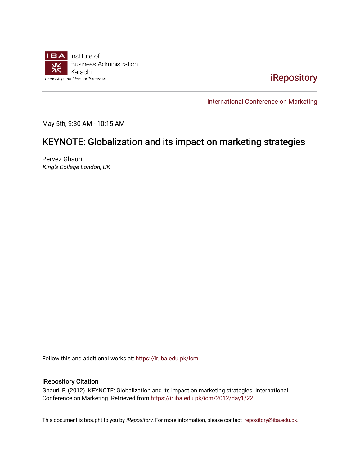

[iRepository](https://ir.iba.edu.pk/) 

[International Conference on Marketing](https://ir.iba.edu.pk/icm) 

May 5th, 9:30 AM - 10:15 AM

## KEYNOTE: Globalization and its impact on marketing strategies

Pervez Ghauri King's College London, UK

Follow this and additional works at: [https://ir.iba.edu.pk/icm](https://ir.iba.edu.pk/icm?utm_source=ir.iba.edu.pk%2Ficm%2F2012%2Fday1%2F22&utm_medium=PDF&utm_campaign=PDFCoverPages) 

## iRepository Citation

Ghauri, P. (2012). KEYNOTE: Globalization and its impact on marketing strategies. International Conference on Marketing. Retrieved from [https://ir.iba.edu.pk/icm/2012/day1/22](https://ir.iba.edu.pk/icm/2012/day1/22?utm_source=ir.iba.edu.pk%2Ficm%2F2012%2Fday1%2F22&utm_medium=PDF&utm_campaign=PDFCoverPages) 

This document is brought to you by iRepository. For more information, please contact [irepository@iba.edu.pk](mailto:irepository@iba.edu.pk).